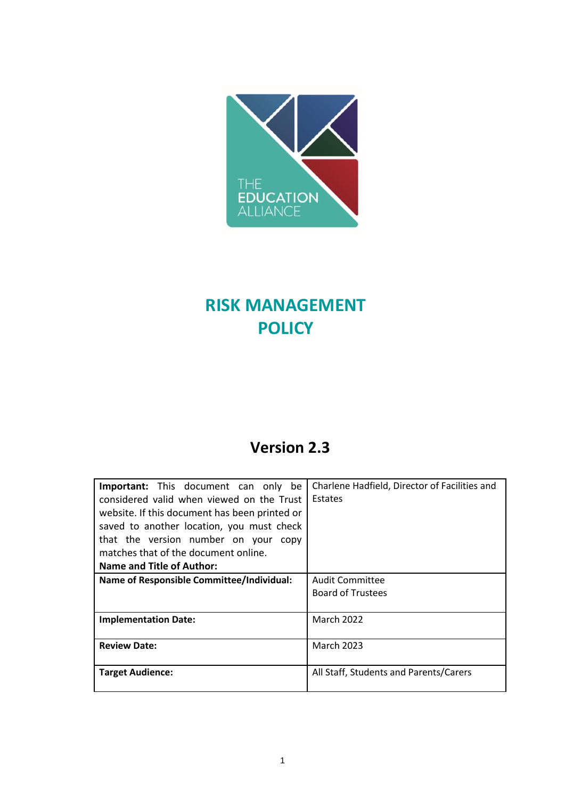

# **RISK MANAGEMENT POLICY**

# **Version 2.3**

| <b>Important:</b> This document can only be      | Charlene Hadfield, Director of Facilities and |
|--------------------------------------------------|-----------------------------------------------|
| considered valid when viewed on the Trust        | Estates                                       |
| website. If this document has been printed or    |                                               |
| saved to another location, you must check        |                                               |
| that the version number on your copy             |                                               |
| matches that of the document online.             |                                               |
| Name and Title of Author:                        |                                               |
| <b>Name of Responsible Committee/Individual:</b> | <b>Audit Committee</b>                        |
|                                                  | <b>Board of Trustees</b>                      |
|                                                  |                                               |
| <b>Implementation Date:</b>                      | <b>March 2022</b>                             |
|                                                  |                                               |
| <b>Review Date:</b>                              | <b>March 2023</b>                             |
|                                                  |                                               |
| <b>Target Audience:</b>                          | All Staff, Students and Parents/Carers        |
|                                                  |                                               |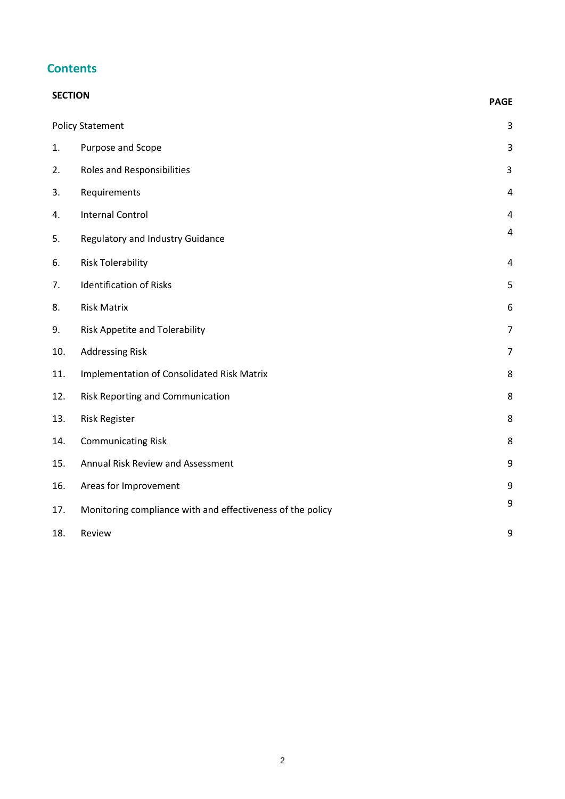# **Contents**

| <b>SECTION</b>          |                                                            | <b>PAGE</b>    |
|-------------------------|------------------------------------------------------------|----------------|
| <b>Policy Statement</b> |                                                            | 3              |
| 1.                      | Purpose and Scope                                          | 3              |
| 2.                      | <b>Roles and Responsibilities</b>                          | $\mathsf{3}$   |
| 3.                      | Requirements                                               | $\overline{4}$ |
| 4.                      | <b>Internal Control</b>                                    | 4              |
| 5.                      | <b>Regulatory and Industry Guidance</b>                    | $\overline{4}$ |
| 6.                      | <b>Risk Tolerability</b>                                   | 4              |
| 7.                      | <b>Identification of Risks</b>                             | 5              |
| 8.                      | <b>Risk Matrix</b>                                         | 6              |
| 9.                      | <b>Risk Appetite and Tolerability</b>                      | $\overline{7}$ |
| 10.                     | <b>Addressing Risk</b>                                     | 7              |
| 11.                     | Implementation of Consolidated Risk Matrix                 | 8              |
| 12.                     | Risk Reporting and Communication                           | 8              |
| 13.                     | <b>Risk Register</b>                                       | 8              |
| 14.                     | <b>Communicating Risk</b>                                  | 8              |
| 15.                     | Annual Risk Review and Assessment                          | 9              |
| 16.                     | Areas for Improvement                                      | 9              |
| 17.                     | Monitoring compliance with and effectiveness of the policy | 9              |
| 18.                     | Review                                                     | 9              |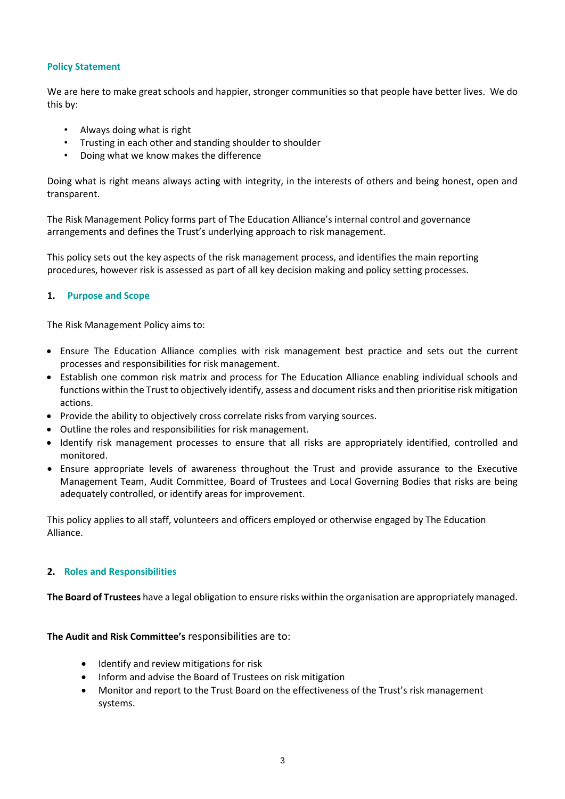# **Policy Statement**

We are here to make great schools and happier, stronger communities so that people have better lives. We do this by:

- Always doing what is right
- Trusting in each other and standing shoulder to shoulder
- Doing what we know makes the difference

Doing what is right means always acting with integrity, in the interests of others and being honest, open and transparent.

The Risk Management Policy forms part of The Education Alliance's internal control and governance arrangements and defines the Trust's underlying approach to risk management.

This policy sets out the key aspects of the risk management process, and identifies the main reporting procedures, however risk is assessed as part of all key decision making and policy setting processes.

# **1. Purpose and Scope**

The Risk Management Policy aims to:

- Ensure The Education Alliance complies with risk management best practice and sets out the current processes and responsibilities for risk management.
- Establish one common risk matrix and process for The Education Alliance enabling individual schools and functions within the Trust to objectively identify, assess and document risks and then prioritise risk mitigation actions.
- Provide the ability to objectively cross correlate risks from varying sources.
- Outline the roles and responsibilities for risk management.
- Identify risk management processes to ensure that all risks are appropriately identified, controlled and monitored.
- Ensure appropriate levels of awareness throughout the Trust and provide assurance to the Executive Management Team, Audit Committee, Board of Trustees and Local Governing Bodies that risks are being adequately controlled, or identify areas for improvement.

This policy applies to all staff, volunteers and officers employed or otherwise engaged by The Education Alliance.

#### **2. Roles and Responsibilities**

**The Board of Trustees** have a legal obligation to ensure risks within the organisation are appropriately managed.

#### **The Audit and Risk Committee's** responsibilities are to:

- Identify and review mitigations for risk
- Inform and advise the Board of Trustees on risk mitigation
- Monitor and report to the Trust Board on the effectiveness of the Trust's risk management systems.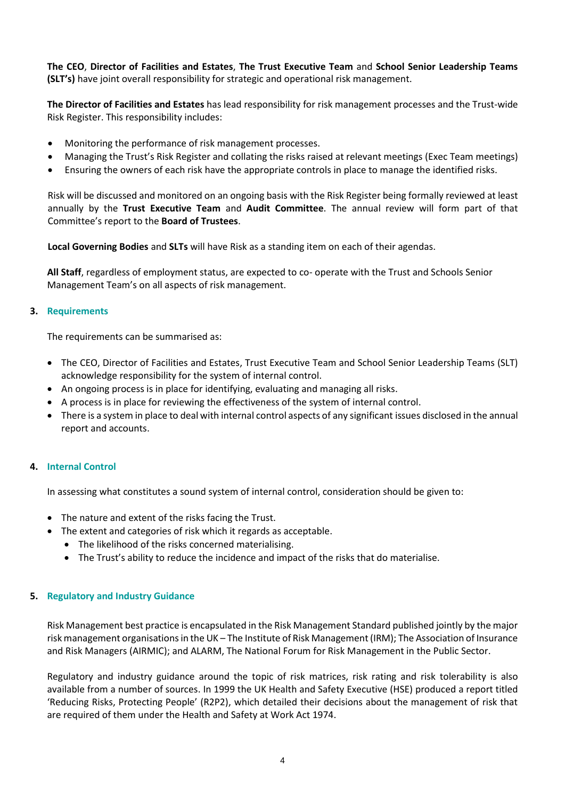**The CEO**, **Director of Facilities and Estates**, **The Trust Executive Team** and **School Senior Leadership Teams (SLT's)** have joint overall responsibility for strategic and operational risk management.

**The Director of Facilities and Estates** has lead responsibility for risk management processes and the Trust-wide Risk Register. This responsibility includes:

- Monitoring the performance of risk management processes.
- Managing the Trust's Risk Register and collating the risks raised at relevant meetings (Exec Team meetings)
- Ensuring the owners of each risk have the appropriate controls in place to manage the identified risks.

Risk will be discussed and monitored on an ongoing basis with the Risk Register being formally reviewed at least annually by the **Trust Executive Team** and **Audit Committee**. The annual review will form part of that Committee's report to the **Board of Trustees**.

**Local Governing Bodies** and **SLTs** will have Risk as a standing item on each of their agendas.

**All Staff**, regardless of employment status, are expected to co- operate with the Trust and Schools Senior Management Team's on all aspects of risk management.

# **3. Requirements**

The requirements can be summarised as:

- The CEO, Director of Facilities and Estates, Trust Executive Team and School Senior Leadership Teams (SLT) acknowledge responsibility for the system of internal control.
- An ongoing process is in place for identifying, evaluating and managing all risks.
- A process is in place for reviewing the effectiveness of the system of internal control.
- There is a system in place to deal with internal control aspects of any significant issues disclosed in the annual report and accounts.

# **4. Internal Control**

In assessing what constitutes a sound system of internal control, consideration should be given to:

- The nature and extent of the risks facing the Trust.
- The extent and categories of risk which it regards as acceptable.
	- The likelihood of the risks concerned materialising.
	- The Trust's ability to reduce the incidence and impact of the risks that do materialise.

#### **5. Regulatory and Industry Guidance**

Risk Management best practice is encapsulated in the Risk Management Standard published jointly by the major risk management organisations in the UK – The Institute of Risk Management (IRM); The Association of Insurance and Risk Managers (AIRMIC); and ALARM, The National Forum for Risk Management in the Public Sector.

Regulatory and industry guidance around the topic of risk matrices, risk rating and risk tolerability is also available from a number of sources. In 1999 the UK Health and Safety Executive (HSE) produced a report titled 'Reducing Risks, Protecting People' (R2P2), which detailed their decisions about the management of risk that are required of them under the Health and Safety at Work Act 1974.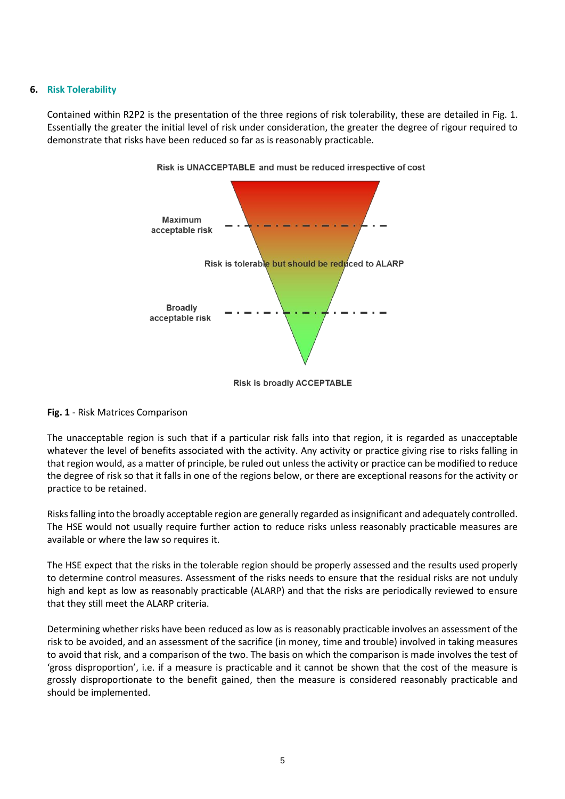## **6. Risk Tolerability**

Contained within R2P2 is the presentation of the three regions of risk tolerability, these are detailed in Fig. 1. Essentially the greater the initial level of risk under consideration, the greater the degree of rigour required to demonstrate that risks have been reduced so far as is reasonably practicable.



Risk is UNACCEPTABLE and must be reduced irrespective of cost



#### **Fig. 1** - Risk Matrices Comparison

The unacceptable region is such that if a particular risk falls into that region, it is regarded as unacceptable whatever the level of benefits associated with the activity. Any activity or practice giving rise to risks falling in that region would, as a matter of principle, be ruled out unless the activity or practice can be modified to reduce the degree of risk so that it falls in one of the regions below, or there are exceptional reasons for the activity or practice to be retained.

Risks falling into the broadly acceptable region are generally regarded as insignificant and adequately controlled. The HSE would not usually require further action to reduce risks unless reasonably practicable measures are available or where the law so requires it.

The HSE expect that the risks in the tolerable region should be properly assessed and the results used properly to determine control measures. Assessment of the risks needs to ensure that the residual risks are not unduly high and kept as low as reasonably practicable (ALARP) and that the risks are periodically reviewed to ensure that they still meet the ALARP criteria.

Determining whether risks have been reduced as low as is reasonably practicable involves an assessment of the risk to be avoided, and an assessment of the sacrifice (in money, time and trouble) involved in taking measures to avoid that risk, and a comparison of the two. The basis on which the comparison is made involves the test of 'gross disproportion', i.e. if a measure is practicable and it cannot be shown that the cost of the measure is grossly disproportionate to the benefit gained, then the measure is considered reasonably practicable and should be implemented.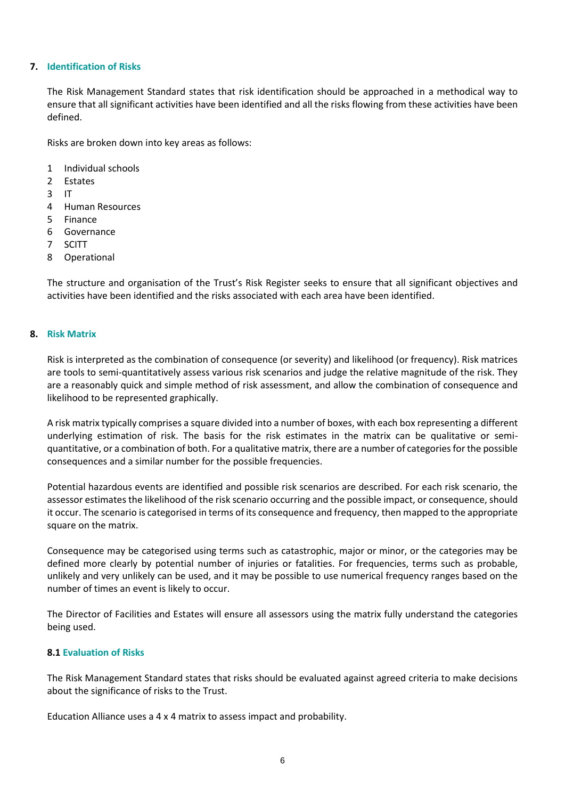# **7. Identification of Risks**

The Risk Management Standard states that risk identification should be approached in a methodical way to ensure that all significant activities have been identified and all the risks flowing from these activities have been defined.

Risks are broken down into key areas as follows:

- 1 Individual schools
- 2 Estates
- 3 IT
- 4 Human Resources
- 5 Finance
- 6 Governance
- 7 SCITT
- 8 Operational

The structure and organisation of the Trust's Risk Register seeks to ensure that all significant objectives and activities have been identified and the risks associated with each area have been identified.

#### **8. Risk Matrix**

Risk is interpreted as the combination of consequence (or severity) and likelihood (or frequency). Risk matrices are tools to semi-quantitatively assess various risk scenarios and judge the relative magnitude of the risk. They are a reasonably quick and simple method of risk assessment, and allow the combination of consequence and likelihood to be represented graphically.

A risk matrix typically comprises a square divided into a number of boxes, with each box representing a different underlying estimation of risk. The basis for the risk estimates in the matrix can be qualitative or semiquantitative, or a combination of both. For a qualitative matrix, there are a number of categories for the possible consequences and a similar number for the possible frequencies.

Potential hazardous events are identified and possible risk scenarios are described. For each risk scenario, the assessor estimates the likelihood of the risk scenario occurring and the possible impact, or consequence, should it occur. The scenario is categorised in terms of its consequence and frequency, then mapped to the appropriate square on the matrix.

Consequence may be categorised using terms such as catastrophic, major or minor, or the categories may be defined more clearly by potential number of injuries or fatalities. For frequencies, terms such as probable, unlikely and very unlikely can be used, and it may be possible to use numerical frequency ranges based on the number of times an event is likely to occur.

The Director of Facilities and Estates will ensure all assessors using the matrix fully understand the categories being used.

#### **8.1 Evaluation of Risks**

The Risk Management Standard states that risks should be evaluated against agreed criteria to make decisions about the significance of risks to the Trust.

Education Alliance uses a 4 x 4 matrix to assess impact and probability.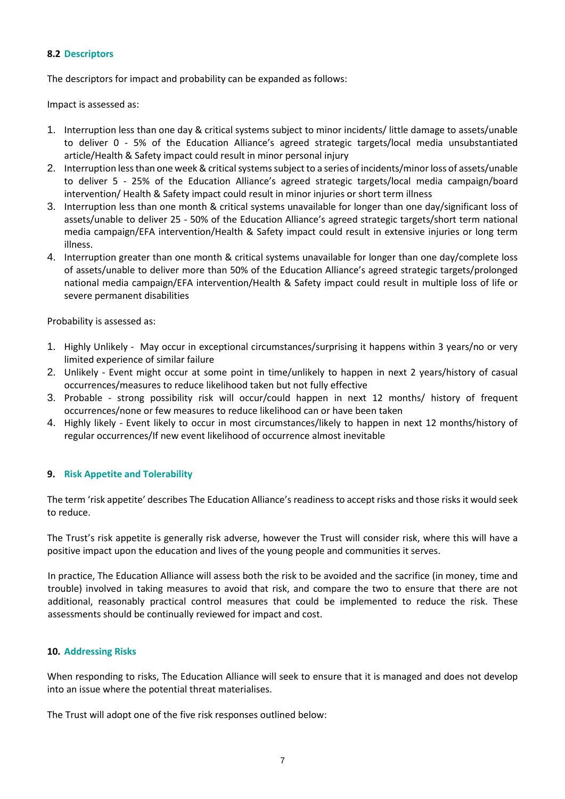# **8.2 Descriptors**

The descriptors for impact and probability can be expanded as follows:

Impact is assessed as:

- 1. Interruption less than one day & critical systems subject to minor incidents/ little damage to assets/unable to deliver 0 - 5% of the Education Alliance's agreed strategic targets/local media unsubstantiated article/Health & Safety impact could result in minor personal injury
- 2. Interruption less than one week & critical systems subject to a series of incidents/minor loss of assets/unable to deliver 5 - 25% of the Education Alliance's agreed strategic targets/local media campaign/board intervention/ Health & Safety impact could result in minor injuries or short term illness
- 3. Interruption less than one month & critical systems unavailable for longer than one day/significant loss of assets/unable to deliver 25 - 50% of the Education Alliance's agreed strategic targets/short term national media campaign/EFA intervention/Health & Safety impact could result in extensive injuries or long term illness.
- 4. Interruption greater than one month & critical systems unavailable for longer than one day/complete loss of assets/unable to deliver more than 50% of the Education Alliance's agreed strategic targets/prolonged national media campaign/EFA intervention/Health & Safety impact could result in multiple loss of life or severe permanent disabilities

Probability is assessed as:

- 1. Highly Unlikely May occur in exceptional circumstances/surprising it happens within 3 years/no or very limited experience of similar failure
- 2. Unlikely Event might occur at some point in time/unlikely to happen in next 2 years/history of casual occurrences/measures to reduce likelihood taken but not fully effective
- 3. Probable strong possibility risk will occur/could happen in next 12 months/ history of frequent occurrences/none or few measures to reduce likelihood can or have been taken
- 4. Highly likely Event likely to occur in most circumstances/likely to happen in next 12 months/history of regular occurrences/If new event likelihood of occurrence almost inevitable

# **9. Risk Appetite and Tolerability**

The term 'risk appetite' describes The Education Alliance's readiness to accept risks and those risks it would seek to reduce.

The Trust's risk appetite is generally risk adverse, however the Trust will consider risk, where this will have a positive impact upon the education and lives of the young people and communities it serves.

In practice, The Education Alliance will assess both the risk to be avoided and the sacrifice (in money, time and trouble) involved in taking measures to avoid that risk, and compare the two to ensure that there are not additional, reasonably practical control measures that could be implemented to reduce the risk. These assessments should be continually reviewed for impact and cost.

# **10. Addressing Risks**

When responding to risks, The Education Alliance will seek to ensure that it is managed and does not develop into an issue where the potential threat materialises.

The Trust will adopt one of the five risk responses outlined below: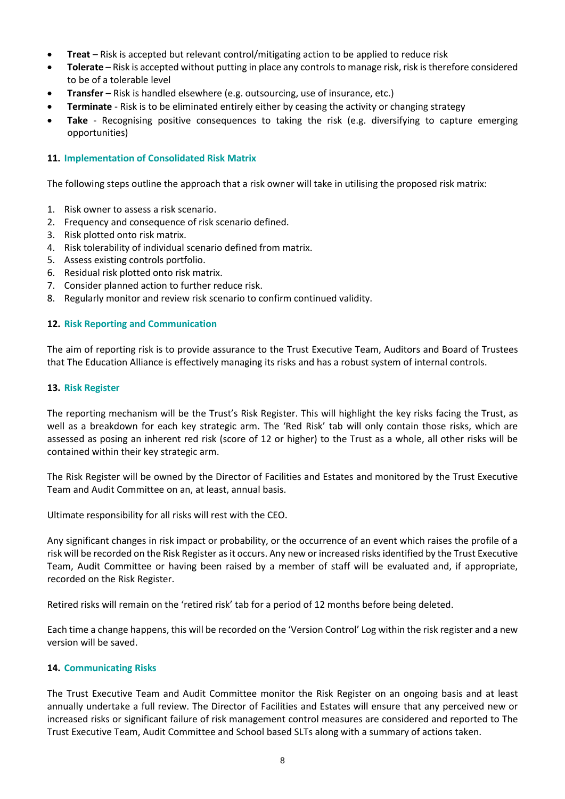- **Treat** Risk is accepted but relevant control/mitigating action to be applied to reduce risk
- **Tolerate** Risk is accepted without putting in place any controls to manage risk, risk is therefore considered to be of a tolerable level
- **Transfer** Risk is handled elsewhere (e.g. outsourcing, use of insurance, etc.)
- **Terminate**  Risk is to be eliminated entirely either by ceasing the activity or changing strategy
- **Take**  Recognising positive consequences to taking the risk (e.g. diversifying to capture emerging opportunities)

# **11. Implementation of Consolidated Risk Matrix**

The following steps outline the approach that a risk owner will take in utilising the proposed risk matrix:

- 1. Risk owner to assess a risk scenario.
- 2. Frequency and consequence of risk scenario defined.
- 3. Risk plotted onto risk matrix.
- 4. Risk tolerability of individual scenario defined from matrix.
- 5. Assess existing controls portfolio.
- 6. Residual risk plotted onto risk matrix.
- 7. Consider planned action to further reduce risk.
- 8. Regularly monitor and review risk scenario to confirm continued validity.

# **12. Risk Reporting and Communication**

The aim of reporting risk is to provide assurance to the Trust Executive Team, Auditors and Board of Trustees that The Education Alliance is effectively managing its risks and has a robust system of internal controls.

#### **13. Risk Register**

The reporting mechanism will be the Trust's Risk Register. This will highlight the key risks facing the Trust, as well as a breakdown for each key strategic arm. The 'Red Risk' tab will only contain those risks, which are assessed as posing an inherent red risk (score of 12 or higher) to the Trust as a whole, all other risks will be contained within their key strategic arm.

The Risk Register will be owned by the Director of Facilities and Estates and monitored by the Trust Executive Team and Audit Committee on an, at least, annual basis.

Ultimate responsibility for all risks will rest with the CEO.

Any significant changes in risk impact or probability, or the occurrence of an event which raises the profile of a risk will be recorded on the Risk Register as it occurs. Any new or increased risks identified by the Trust Executive Team, Audit Committee or having been raised by a member of staff will be evaluated and, if appropriate, recorded on the Risk Register.

Retired risks will remain on the 'retired risk' tab for a period of 12 months before being deleted.

Each time a change happens, this will be recorded on the 'Version Control' Log within the risk register and a new version will be saved.

# **14. Communicating Risks**

The Trust Executive Team and Audit Committee monitor the Risk Register on an ongoing basis and at least annually undertake a full review. The Director of Facilities and Estates will ensure that any perceived new or increased risks or significant failure of risk management control measures are considered and reported to The Trust Executive Team, Audit Committee and School based SLTs along with a summary of actions taken.